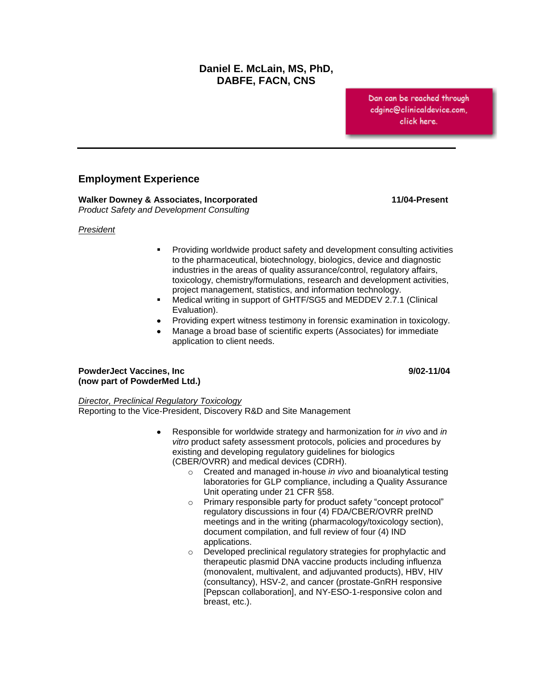## **Daniel E. McLain, MS, PhD, DABFE, FACN, CNS**

Dan can be reached through cdginc@clinicaldevice.com, click here.

## **Employment Experience**

**Walker Downey & Associates, Incorporated 11/04-Present** *Product Safety and Development Consulting*

*President*

- Providing worldwide product safety and development consulting activities to the pharmaceutical, biotechnology, biologics, device and diagnostic industries in the areas of quality assurance/control, regulatory affairs, toxicology, chemistry/formulations, research and development activities, project management, statistics, and information technology.
- Medical writing in support of GHTF/SG5 and MEDDEV 2.7.1 (Clinical Evaluation).
- Providing expert witness testimony in forensic examination in toxicology.
- Manage a broad base of scientific experts (Associates) for immediate application to client needs.

#### PowderJect Vaccines, Inc **Provider Accines and Provider Accine** 9/02-11/04 **(now part of PowderMed Ltd.)**

#### *Director, Preclinical Regulatory Toxicology*

Reporting to the Vice-President, Discovery R&D and Site Management

- Responsible for worldwide strategy and harmonization for *in vivo* and *in vitro* product safety assessment protocols, policies and procedures by existing and developing regulatory guidelines for biologics (CBER/OVRR) and medical devices (CDRH).
	- o Created and managed in-house *in vivo* and bioanalytical testing laboratories for GLP compliance, including a Quality Assurance Unit operating under 21 CFR §58.
	- o Primary responsible party for product safety "concept protocol" regulatory discussions in four (4) FDA/CBER/OVRR preIND meetings and in the writing (pharmacology/toxicology section), document compilation, and full review of four (4) IND applications.
	- o Developed preclinical regulatory strategies for prophylactic and therapeutic plasmid DNA vaccine products including influenza (monovalent, multivalent, and adjuvanted products), HBV, HIV (consultancy), HSV-2, and cancer (prostate-GnRH responsive [Pepscan collaboration], and NY-ESO-1-responsive colon and breast, etc.).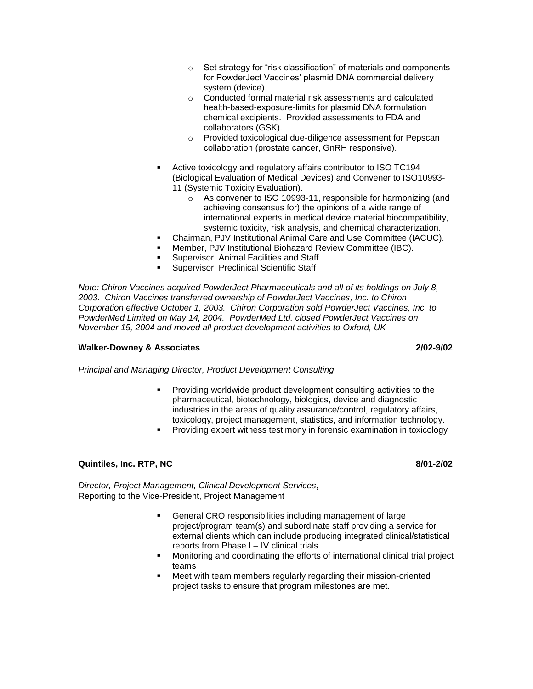- o Set strategy for "risk classification" of materials and components for PowderJect Vaccines' plasmid DNA commercial delivery system (device).
- o Conducted formal material risk assessments and calculated health-based-exposure-limits for plasmid DNA formulation chemical excipients. Provided assessments to FDA and collaborators (GSK).
- o Provided toxicological due-diligence assessment for Pepscan collaboration (prostate cancer, GnRH responsive).
- Active toxicology and regulatory affairs contributor to ISO TC194 (Biological Evaluation of Medical Devices) and Convener to ISO10993- 11 (Systemic Toxicity Evaluation).
	- o As convener to ISO 10993-11, responsible for harmonizing (and achieving consensus for) the opinions of a wide range of international experts in medical device material biocompatibility, systemic toxicity, risk analysis, and chemical characterization.
- Chairman, PJV Institutional Animal Care and Use Committee (IACUC).
- Member, PJV Institutional Biohazard Review Committee (IBC).
- Supervisor, Animal Facilities and Staff
- Supervisor, Preclinical Scientific Staff

*Note: Chiron Vaccines acquired PowderJect Pharmaceuticals and all of its holdings on July 8, 2003. Chiron Vaccines transferred ownership of PowderJect Vaccines, Inc. to Chiron Corporation effective October 1, 2003. Chiron Corporation sold PowderJect Vaccines, Inc. to PowderMed Limited on May 14, 2004. PowderMed Ltd. closed PowderJect Vaccines on November 15, 2004 and moved all product development activities to Oxford, UK*

#### **Walker-Downey & Associates 2/02-9/02**

*Principal and Managing Director, Product Development Consulting*

- Providing worldwide product development consulting activities to the pharmaceutical, biotechnology, biologics, device and diagnostic industries in the areas of quality assurance/control, regulatory affairs, toxicology, project management, statistics, and information technology.
- Providing expert witness testimony in forensic examination in toxicology

## **Quintiles, Inc. RTP, NC** 8/01-2/02

*Director, Project Management, Clinical Development Services***,** Reporting to the Vice-President, Project Management

- General CRO responsibilities including management of large project/program team(s) and subordinate staff providing a service for external clients which can include producing integrated clinical/statistical reports from Phase I – IV clinical trials.
- Monitoring and coordinating the efforts of international clinical trial project teams
- Meet with team members regularly regarding their mission-oriented project tasks to ensure that program milestones are met.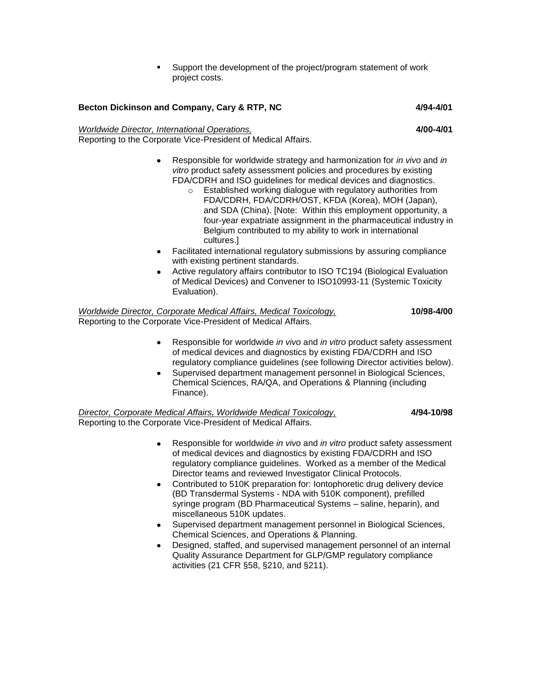Support the development of the project/program statement of work project costs.

## Becton Dickinson and Company, Cary & RTP, NC 4/94-4/01

# *Worldwide Director, International Operations,* **4/00-4/01**

Reporting to the Corporate Vice-President of Medical Affairs.

- Responsible for worldwide strategy and harmonization for *in vivo* and *in vitro* product safety assessment policies and procedures by existing FDA/CDRH and ISO guidelines for medical devices and diagnostics.
	- o Established working dialogue with regulatory authorities from FDA/CDRH, FDA/CDRH/OST, KFDA (Korea), MOH (Japan), and SDA (China). [Note: Within this employment opportunity, a four-year expatriate assignment in the pharmaceutical industry in Belgium contributed to my ability to work in international cultures.]
- Facilitated international regulatory submissions by assuring compliance with existing pertinent standards.
- Active regulatory affairs contributor to ISO TC194 (Biological Evaluation of Medical Devices) and Convener to ISO10993-11 (Systemic Toxicity Evaluation).

#### *Worldwide Director, Corporate Medical Affairs, Medical Toxicology,* **10/98-4/00** Reporting to the Corporate Vice-President of Medical Affairs.

- Responsible for worldwide *in vivo* and *in vitro* product safety assessment of medical devices and diagnostics by existing FDA/CDRH and ISO regulatory compliance guidelines (see following Director activities below).
- Supervised department management personnel in Biological Sciences, Chemical Sciences, RA/QA, and Operations & Planning (including Finance).

*Director, Corporate Medical Affairs, Worldwide Medical Toxicology,* **4/94-10/98** Reporting to the Corporate Vice-President of Medical Affairs.

- Responsible for worldwide *in vivo* and *in vitro* product safety assessment of medical devices and diagnostics by existing FDA/CDRH and ISO regulatory compliance guidelines. Worked as a member of the Medical Director teams and reviewed Investigator Clinical Protocols.
- Contributed to 510K preparation for: Iontophoretic drug delivery device (BD Transdermal Systems - NDA with 510K component), prefilled syringe program (BD Pharmaceutical Systems – saline, heparin), and miscellaneous 510K updates.
- Supervised department management personnel in Biological Sciences, Chemical Sciences, and Operations & Planning.
- Designed, staffed, and supervised management personnel of an internal Quality Assurance Department for GLP/GMP regulatory compliance activities (21 CFR §58, §210, and §211).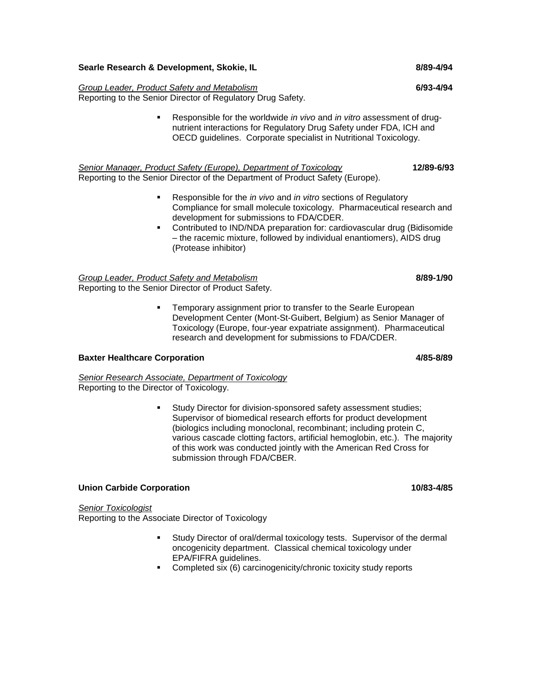## **Searle Research & Development, Skokie, IL 889-4/94 <b>8/89-4/94 8/89-4/94**

## *Group Leader, Product Safety and Metabolism* **6/93-4/94**

Reporting to the Senior Director of Regulatory Drug Safety.

 Responsible for the worldwide *in vivo* and *in vitro* assessment of drugnutrient interactions for Regulatory Drug Safety under FDA, ICH and OECD guidelines. Corporate specialist in Nutritional Toxicology.

*Senior Manager, Product Safety (Europe), Department of Toxicology* **12/89-6/93** Reporting to the Senior Director of the Department of Product Safety (Europe).

- Responsible for the *in vivo* and *in vitro* sections of Regulatory Compliance for small molecule toxicology. Pharmaceutical research and development for submissions to FDA/CDER.
- Contributed to IND/NDA preparation for: cardiovascular drug (Bidisomide – the racemic mixture, followed by individual enantiomers), AIDS drug (Protease inhibitor)

*Group Leader, Product Safety and Metabolism* **8/89-1/90** Reporting to the Senior Director of Product Safety.

> Temporary assignment prior to transfer to the Searle European Development Center (Mont-St-Guibert, Belgium) as Senior Manager of Toxicology (Europe, four-year expatriate assignment). Pharmaceutical research and development for submissions to FDA/CDER.

## **Baxter Healthcare Corporation 4/85-8/89**

*Senior Research Associate, Department of Toxicology* Reporting to the Director of Toxicology.

> Study Director for division-sponsored safety assessment studies; Supervisor of biomedical research efforts for product development (biologics including monoclonal, recombinant; including protein C, various cascade clotting factors, artificial hemoglobin, etc.). The majority of this work was conducted jointly with the American Red Cross for submission through FDA/CBER.

## **Union Carbide Corporation 10/83-4/85**

*Senior Toxicologist* Reporting to the Associate Director of Toxicology

- Study Director of oral/dermal toxicology tests. Supervisor of the dermal oncogenicity department. Classical chemical toxicology under EPA/FIFRA guidelines.
- **Completed six (6) carcinogenicity/chronic toxicity study reports**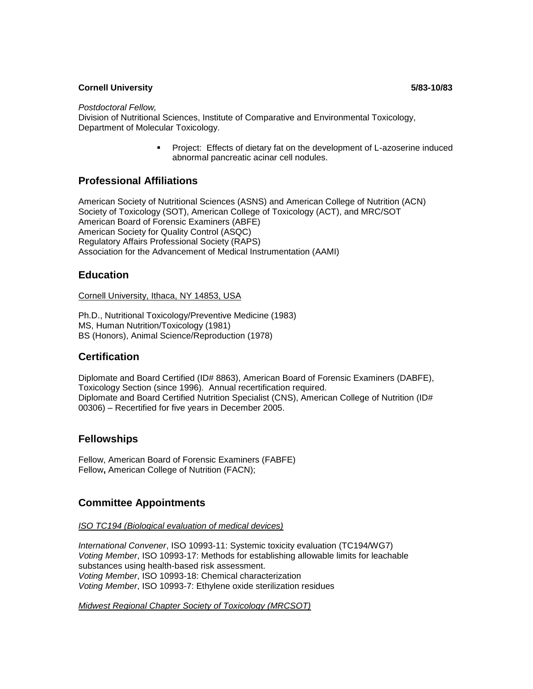*Postdoctoral Fellow,* 

Division of Nutritional Sciences, Institute of Comparative and Environmental Toxicology, Department of Molecular Toxicology.

> **Project: Effects of dietary fat on the development of L-azoserine induced** abnormal pancreatic acinar cell nodules.

## **Professional Affiliations**

American Society of Nutritional Sciences (ASNS) and American College of Nutrition (ACN) Society of Toxicology (SOT), American College of Toxicology (ACT), and MRC/SOT American Board of Forensic Examiners (ABFE) American Society for Quality Control (ASQC) Regulatory Affairs Professional Society (RAPS) Association for the Advancement of Medical Instrumentation (AAMI)

## **Education**

Cornell University, Ithaca, NY 14853, USA

Ph.D., Nutritional Toxicology/Preventive Medicine (1983) MS, Human Nutrition/Toxicology (1981) BS (Honors), Animal Science/Reproduction (1978)

## **Certification**

Diplomate and Board Certified (ID# 8863), American Board of Forensic Examiners (DABFE), Toxicology Section (since 1996). Annual recertification required. Diplomate and Board Certified Nutrition Specialist (CNS), American College of Nutrition (ID# 00306) – Recertified for five years in December 2005.

## **Fellowships**

Fellow, American Board of Forensic Examiners (FABFE) Fellow**,** American College of Nutrition (FACN);

## **Committee Appointments**

*ISO TC194 (Biological evaluation of medical devices)*

*International Convener*, ISO 10993-11: Systemic toxicity evaluation (TC194/WG7) *Voting Member*, ISO 10993-17: Methods for establishing allowable limits for leachable substances using health-based risk assessment. *Voting Member*, ISO 10993-18: Chemical characterization *Voting Member*, ISO 10993-7: Ethylene oxide sterilization residues

*Midwest Regional Chapter Society of Toxicology (MRCSOT)*